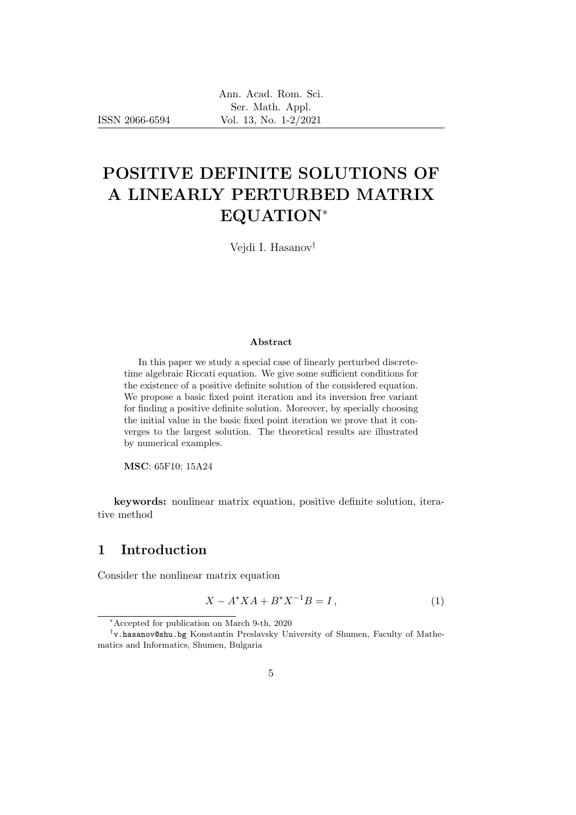ISSN 2066-6594

# POSITIVE DEFINITE SOLUTIONS OF A LINEARLY PERTURBED MATRIX EQUATION<sup>∗</sup>

Vejdi I. Hasanov†

#### Abstract

In this paper we study a special case of linearly perturbed discretetime algebraic Riccati equation. We give some sufficient conditions for the existence of a positive definite solution of the considered equation. We propose a basic fixed point iteration and its inversion free variant for finding a positive definite solution. Moreover, by specially choosing the initial value in the basic fixed point iteration we prove that it converges to the largest solution. The theoretical results are illustrated by numerical examples.

MSC: 65F10; 15A24

keywords: nonlinear matrix equation, positive definite solution, iterative method

# 1 Introduction

Consider the nonlinear matrix equation

$$
X - A^* X A + B^* X^{-1} B = I,
$$
\n(1)

<sup>∗</sup>Accepted for publication on March 9-th, 2020

<sup>†</sup> v.hasanov@shu.bg Konstantin Preslavsky University of Shumen, Faculty of Mathematics and Informatics, Shumen, Bulgaria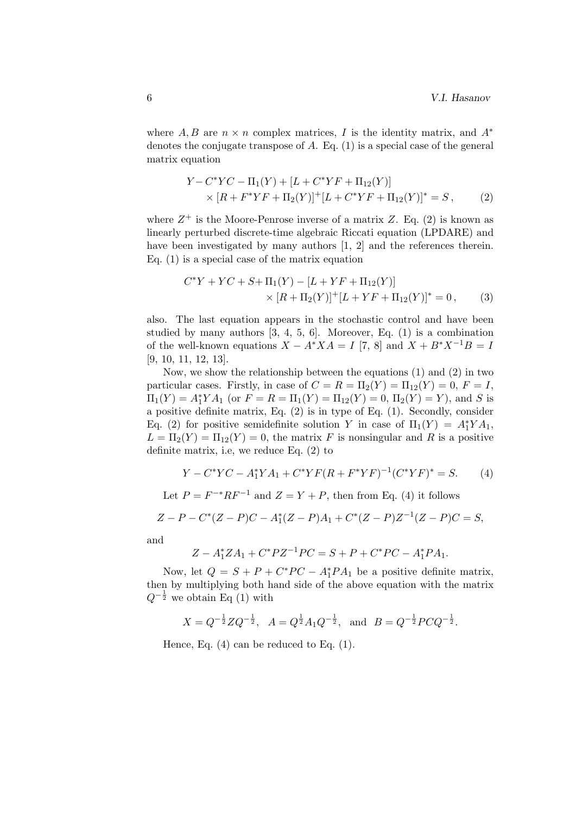where A, B are  $n \times n$  complex matrices, I is the identity matrix, and  $A^*$ denotes the conjugate transpose of  $A$ . Eq.  $(1)$  is a special case of the general matrix equation

$$
Y - C^* Y C - \Pi_1(Y) + [L + C^* Y F + \Pi_{12}(Y)]
$$
  
 
$$
\times [R + F^* Y F + \Pi_2(Y)]^+ [L + C^* Y F + \Pi_{12}(Y)]^* = S,
$$
 (2)

where  $Z^+$  is the Moore-Penrose inverse of a matrix Z. Eq. (2) is known as linearly perturbed discrete-time algebraic Riccati equation (LPDARE) and have been investigated by many authors [1, 2] and the references therein. Eq. (1) is a special case of the matrix equation

$$
C^*Y + YC + S + \Pi_1(Y) - [L + YF + \Pi_{12}(Y)]
$$
  
 
$$
\times [R + \Pi_2(Y)]^+ [L + YF + \Pi_{12}(Y)]^* = 0,
$$
 (3)

also. The last equation appears in the stochastic control and have been studied by many authors [3, 4, 5, 6]. Moreover, Eq. (1) is a combination of the well-known equations  $X - A^*XA = I$  [7, 8] and  $X + B^*X^{-1}B = I$ [9, 10, 11, 12, 13].

Now, we show the relationship between the equations (1) and (2) in two particular cases. Firstly, in case of  $C = R = \Pi_2(Y) = \Pi_{12}(Y) = 0, F = I$ ,  $\Pi_1(Y) = A_1^* Y A_1$  (or  $F = R = \Pi_1(Y) = \Pi_{12}(Y) = 0$ ,  $\Pi_2(Y) = Y$ ), and S is a positive definite matrix, Eq. (2) is in type of Eq. (1). Secondly, consider Eq. (2) for positive semidefinite solution Y in case of  $\Pi_1(Y) = A_1^*YA_1$ ,  $L = \Pi_2(Y) = \Pi_{12}(Y) = 0$ , the matrix F is nonsingular and R is a positive definite matrix, i.e, we reduce Eq. (2) to

$$
Y - C^* Y C - A_1^* Y A_1 + C^* Y F (R + F^* Y F)^{-1} (C^* Y F)^* = S.
$$
 (4)

Let  $P = F^{-*}RF^{-1}$  and  $Z = Y + P$ , then from Eq. (4) it follows

$$
Z - P - C^*(Z - P)C - A_1^*(Z - P)A_1 + C^*(Z - P)Z^{-1}(Z - P)C = S,
$$

and

$$
Z - A_1^* Z A_1 + C^* P Z^{-1} P C = S + P + C^* P C - A_1^* P A_1.
$$

Now, let  $Q = S + P + C^*PC - A_1^*PA_1$  be a positive definite matrix, then by multiplying both hand side of the above equation with the matrix  $Q^{-\frac{1}{2}}$  we obtain Eq (1) with

$$
X = Q^{-\frac{1}{2}} Z Q^{-\frac{1}{2}}, A = Q^{\frac{1}{2}} A_1 Q^{-\frac{1}{2}}, \text{ and } B = Q^{-\frac{1}{2}} P C Q^{-\frac{1}{2}}.
$$

Hence, Eq. (4) can be reduced to Eq. (1).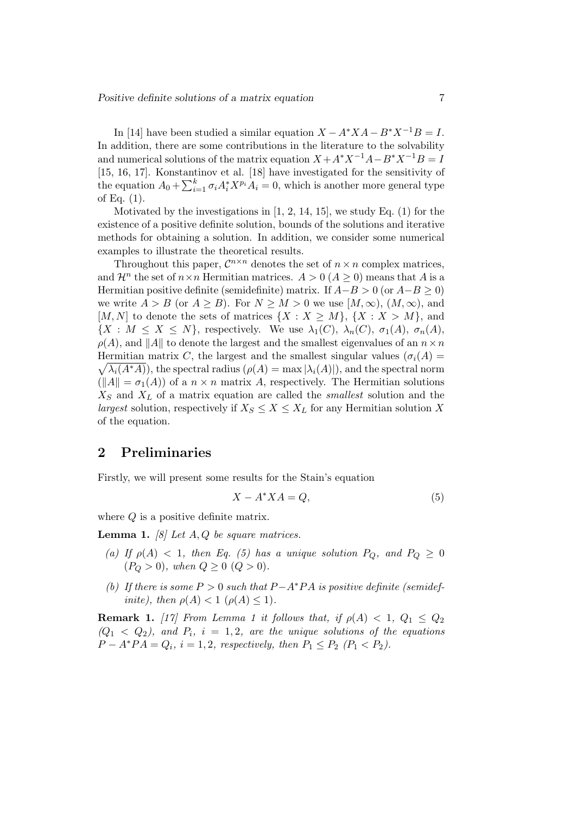In [14] have been studied a similar equation  $X - A^*XA - B^*X^{-1}B = I$ . In addition, there are some contributions in the literature to the solvability and numerical solutions of the matrix equation  $X + A^*X^{-1}A - B^*X^{-1}B = I$ [15, 16, 17]. Konstantinov et al. [18] have investigated for the sensitivity of the equation  $A_0 + \sum_{i=1}^k \sigma_i A_i^* X^{p_i} A_i = 0$ , which is another more general type of Eq. (1).

Motivated by the investigations in  $[1, 2, 14, 15]$ , we study Eq.  $(1)$  for the existence of a positive definite solution, bounds of the solutions and iterative methods for obtaining a solution. In addition, we consider some numerical examples to illustrate the theoretical results.

Throughout this paper,  $\mathcal{C}^{n \times n}$  denotes the set of  $n \times n$  complex matrices, and  $\mathcal{H}^n$  the set of  $n \times n$  Hermitian matrices.  $A > 0$  ( $A \ge 0$ ) means that A is a Hermitian positive definite (semidefinite) matrix. If  $A-B > 0$  (or  $A-B \ge 0$ ) we write  $A > B$  (or  $A > B$ ). For  $N > M > 0$  we use  $[M, \infty), (M, \infty)$ , and [M, N] to denote the sets of matrices  $\{X : X \geq M\}$ ,  $\{X : X > M\}$ , and  $\{X : M \leq X \leq N\}$ , respectively. We use  $\lambda_1(C)$ ,  $\lambda_n(C)$ ,  $\sigma_1(A)$ ,  $\sigma_n(A)$ ,  $\rho(A)$ , and ||A|| to denote the largest and the smallest eigenvalues of an  $n \times n$ Hermitian matrix C, the largest and the smallest singular values  $(\sigma_i(A))$  $\sqrt{\lambda_i(A^*A)}$ , the spectral radius  $(\rho(A) = \max |\lambda_i(A)|)$ , and the spectral norm  $(||A|| = \sigma_1(A))$  of a  $n \times n$  matrix A, respectively. The Hermitian solutions  $X<sub>S</sub>$  and  $X<sub>L</sub>$  of a matrix equation are called the *smallest* solution and the largest solution, respectively if  $X_S \leq X \leq X_L$  for any Hermitian solution X of the equation.

## 2 Preliminaries

Firstly, we will present some results for the Stain's equation

$$
X - A^* X A = Q,\t\t(5)
$$

where Q is a positive definite matrix.

**Lemma 1.** [8] Let  $A, Q$  be square matrices.

- (a) If  $\rho(A)$  < 1, then Eq. (5) has a unique solution  $P_Q$ , and  $P_Q \geq 0$  $(P_Q > 0)$ , when  $Q \ge 0$   $(Q > 0)$ .
- (b) If there is some  $P > 0$  such that  $P A^*PA$  is positive definite (semidefinite), then  $\rho(A) < 1$  ( $\rho(A) \leq 1$ ).

**Remark 1.** [17] From Lemma 1 it follows that, if  $\rho(A) < 1$ ,  $Q_1 \leq Q_2$  $(Q_1 \langle Q_2 \rangle)$ , and  $P_i$ ,  $i = 1, 2$ , are the unique solutions of the equations  $P - A^*PA = Q_i$ ,  $i = 1, 2$ , respectively, then  $P_1 \leq P_2$   $(P_1 < P_2)$ .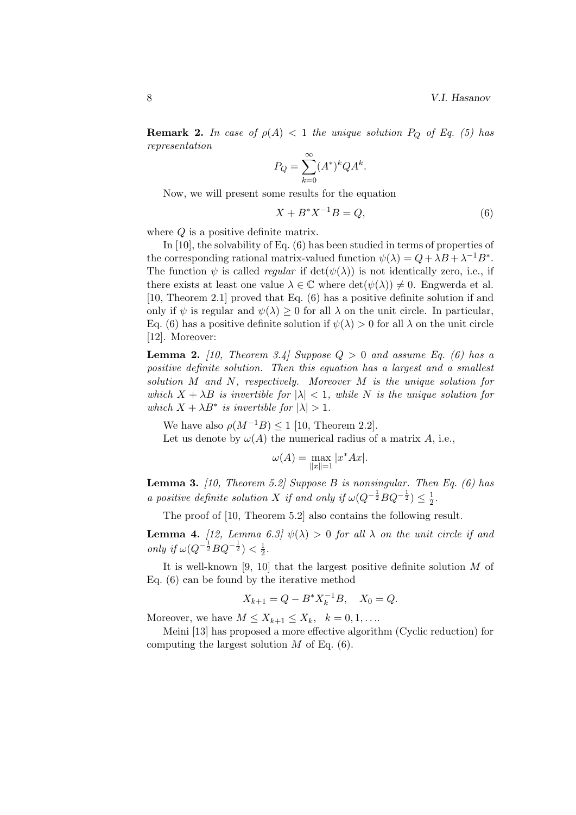**Remark 2.** In case of  $\rho(A) < 1$  the unique solution  $P_Q$  of Eq. (5) has representation

$$
P_Q = \sum_{k=0}^{\infty} (A^*)^k Q A^k.
$$

Now, we will present some results for the equation

$$
X + B^* X^{-1} B = Q,\t\t(6)
$$

where  $Q$  is a positive definite matrix.

In [10], the solvability of Eq. (6) has been studied in terms of properties of the corresponding rational matrix-valued function  $\psi(\lambda) = Q + \lambda B + \lambda^{-1} B^*$ . The function  $\psi$  is called *regular* if  $\det(\psi(\lambda))$  is not identically zero, i.e., if there exists at least one value  $\lambda \in \mathbb{C}$  where  $\det(\psi(\lambda)) \neq 0$ . Engwerda et al. [10, Theorem 2.1] proved that Eq. (6) has a positive definite solution if and only if  $\psi$  is regular and  $\psi(\lambda) \geq 0$  for all  $\lambda$  on the unit circle. In particular, Eq. (6) has a positive definite solution if  $\psi(\lambda) > 0$  for all  $\lambda$  on the unit circle [12]. Moreover:

**Lemma 2.** [10, Theorem 3.4] Suppose  $Q > 0$  and assume Eq. (6) has a positive definite solution. Then this equation has a largest and a smallest solution M and N, respectively. Moreover M is the unique solution for which  $X + \lambda B$  is invertible for  $|\lambda| < 1$ , while N is the unique solution for which  $X + \lambda B^*$  is invertible for  $|\lambda| > 1$ .

We have also  $\rho(M^{-1}B) \leq 1$  [10, Theorem 2.2].

Let us denote by  $\omega(A)$  the numerical radius of a matrix A, i.e.,

$$
\omega(A) = \max_{\|x\|=1} |x^*Ax|.
$$

**Lemma 3.** [10, Theorem 5.2] Suppose B is nonsingular. Then Eq. (6) has a positive definite solution X if and only if  $\omega(Q^{-\frac{1}{2}}BQ^{-\frac{1}{2}}) \leq \frac{1}{2}$  $rac{1}{2}$ .

The proof of [10, Theorem 5.2] also contains the following result.

**Lemma 4.** [12, Lemma 6.3]  $\psi(\lambda) > 0$  for all  $\lambda$  on the unit circle if and only if  $\omega(Q^{-\frac{1}{2}}BQ^{-\frac{1}{2}}) < \frac{1}{2}$  $\frac{1}{2}$ .

It is well-known [9, 10] that the largest positive definite solution M of Eq. (6) can be found by the iterative method

$$
X_{k+1} = Q - B^* X_k^{-1} B, \quad X_0 = Q.
$$

Moreover, we have  $M \leq X_{k+1} \leq X_k, \quad k = 0, 1, \ldots$ 

Meini [13] has proposed a more effective algorithm (Cyclic reduction) for computing the largest solution  $M$  of Eq. (6).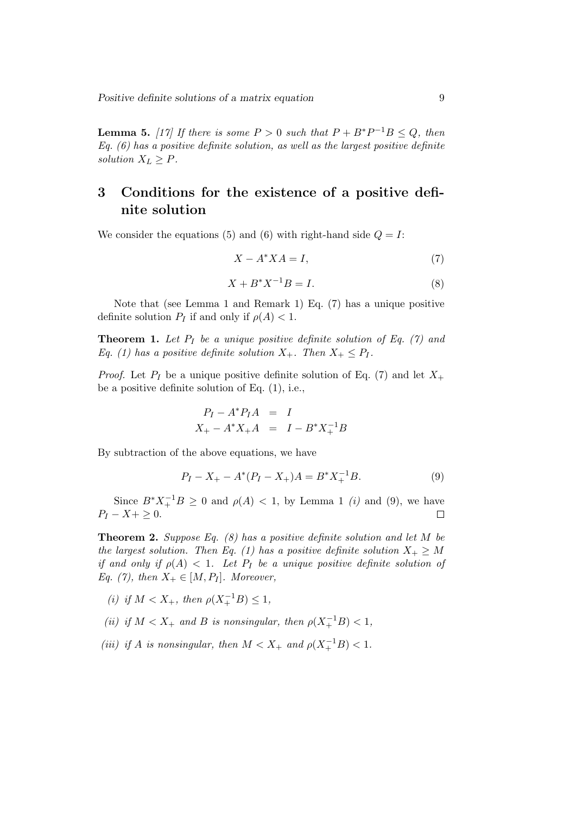Positive definite solutions of a matrix equation 9

**Lemma 5.** [17] If there is some  $P > 0$  such that  $P + B^*P^{-1}B \leq Q$ , then  $Eq. (6)$  has a positive definite solution, as well as the largest positive definite solution  $X_L \geq P$ .

# 3 Conditions for the existence of a positive definite solution

We consider the equations (5) and (6) with right-hand side  $Q = I$ :

$$
X - A^* X A = I,\t\t(7)
$$

$$
X + B^* X^{-1} B = I.
$$
 (8)

Note that (see Lemma 1 and Remark 1) Eq. (7) has a unique positive definite solution  $P_I$  if and only if  $\rho(A) < 1$ .

**Theorem 1.** Let  $P_I$  be a unique positive definite solution of Eq. (7) and Eq. (1) has a positive definite solution  $X_+$ . Then  $X_+ \leq P_I$ .

*Proof.* Let  $P_I$  be a unique positive definite solution of Eq. (7) and let  $X_+$ be a positive definite solution of Eq. (1), i.e.,

$$
P_I - A^* P_I A = I
$$
  

$$
X_+ - A^* X_+ A = I - B^* X_+^{-1} B
$$

By subtraction of the above equations, we have

$$
P_I - X_+ - A^*(P_I - X_+)A = B^* X_+^{-1} B. \tag{9}
$$

Since  $B^*X_+^{-1}B \ge 0$  and  $\rho(A) < 1$ , by Lemma 1 (i) and (9), we have  $P_I - X + \geq 0.$  $\Box$ 

**Theorem 2.** Suppose Eq.  $(8)$  has a positive definite solution and let M be the largest solution. Then Eq. (1) has a positive definite solution  $X_+ \geq M$ if and only if  $\rho(A) < 1$ . Let  $P_I$  be a unique positive definite solution of Eq. (7), then  $X_+ \in [M, P_I]$ . Moreover,

- (i) if  $M < X_+$ , then  $\rho(X_+^{-1}B) \leq 1$ ,
- (ii) if  $M < X_+$  and B is nonsingular, then  $\rho(X_+^{-1}B) < 1$ ,
- (iii) if A is nonsingular, then  $M < X_+$  and  $\rho(X_+^{-1}B) < 1$ .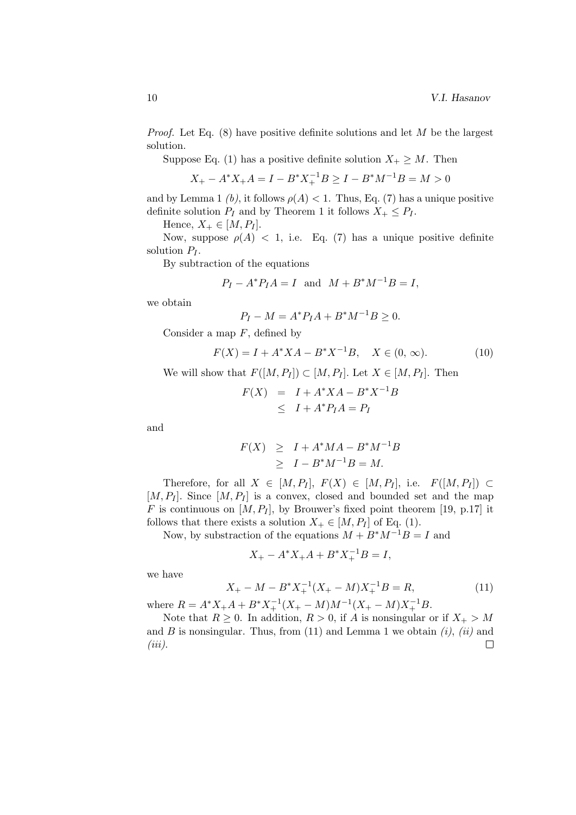*Proof.* Let Eq.  $(8)$  have positive definite solutions and let M be the largest solution.

Suppose Eq. (1) has a positive definite solution  $X_+ \geq M$ . Then

$$
X_{+} - A^* X_{+} A = I - B^* X_{+}^{-1} B \ge I - B^* M^{-1} B = M > 0
$$

and by Lemma 1 (b), it follows  $\rho(A) < 1$ . Thus, Eq. (7) has a unique positive definite solution  $P_I$  and by Theorem 1 it follows  $X_+ \leq P_I$ .

Hence,  $X_+ \in [M, P_I].$ 

Now, suppose  $\rho(A) < 1$ , i.e. Eq. (7) has a unique positive definite solution  $P_I$ .

By subtraction of the equations

$$
P_I - A^* P_I A = I
$$
 and  $M + B^* M^{-1} B = I$ ,

we obtain

$$
P_I - M = A^* P_I A + B^* M^{-1} B \ge 0.
$$

Consider a map  $F$ , defined by

$$
F(X) = I + A^* X A - B^* X^{-1} B, \quad X \in (0, \infty).
$$
 (10)

We will show that  $F([M, P_I]) \subset [M, P_I]$ . Let  $X \in [M, P_I]$ . Then

$$
F(X) = I + A^*XA - B^*X^{-1}B
$$
  
\n
$$
\leq I + A^*P_I A = P_I
$$

and

$$
F(X) \geq I + A^* M A - B^* M^{-1} B
$$
  
\n
$$
\geq I - B^* M^{-1} B = M.
$$

Therefore, for all  $X \in [M, P_I], F(X) \in [M, P_I],$  i.e.  $F([M, P_I]) \subset$  $[M, P_I]$ . Since  $[M, P_I]$  is a convex, closed and bounded set and the map F is continuous on  $[M, P_I]$ , by Brouwer's fixed point theorem [19, p.17] it follows that there exists a solution  $X_+ \in [M, P_I]$  of Eq. (1).

Now, by substraction of the equations  $M + B^*M^{-1}B = I$  and

$$
X_+ - A^* X_+ A + B^* X_+^{-1} B = I,
$$

we have

$$
X_{+} - M - B^* X_{+}^{-1} (X_{+} - M) X_{+}^{-1} B = R,
$$
\n(11)

where  $R = A^*X_+A + B^*X_+^{-1}(X_+ - M)M^{-1}(X_+ - M)X_+^{-1}B$ .

Note that  $R \geq 0$ . In addition,  $R > 0$ , if A is nonsingular or if  $X_+ > M$ and B is nonsingular. Thus, from  $(11)$  and Lemma 1 we obtain  $(i)$ ,  $(ii)$  and  $\Box$  $(iii)$ .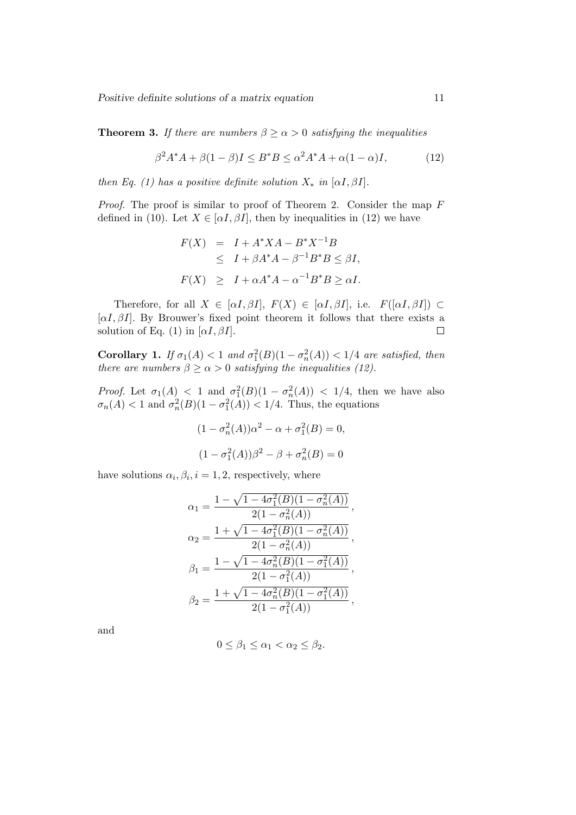Positive definite solutions of a matrix equation 11

**Theorem 3.** If there are numbers  $\beta \ge \alpha > 0$  satisfying the inequalities

$$
\beta^2 A^* A + \beta (1 - \beta)I \le B^* B \le \alpha^2 A^* A + \alpha (1 - \alpha)I,\tag{12}
$$

then Eq. (1) has a positive definite solution  $X_*$  in [ $\alpha I, \beta I$ ].

*Proof.* The proof is similar to proof of Theorem 2. Consider the map  $F$ defined in (10). Let  $X \in [\alpha I, \beta I]$ , then by inequalities in (12) we have

$$
F(X) = I + A^*XA - B^*X^{-1}B
$$
  
\n
$$
\leq I + \beta A^*A - \beta^{-1}B^*B \leq \beta I,
$$
  
\n
$$
F(X) \geq I + \alpha A^*A - \alpha^{-1}B^*B \geq \alpha I.
$$

Therefore, for all  $X \in [\alpha I, \beta I], F(X) \in [\alpha I, \beta I],$  i.e.  $F([\alpha I, \beta I]) \subset$  $[\alpha I, \beta I]$ . By Brouwer's fixed point theorem it follows that there exists a solution of Eq. (1) in  $[\alpha I, \beta I]$ .  $\Box$ 

Corollary 1. If  $\sigma_1(A) < 1$  and  $\sigma_1^2(B)(1 - \sigma_n^2(A)) < 1/4$  are satisfied, then there are numbers  $\beta \ge \alpha > 0$  satisfying the inequalities (12).

*Proof.* Let  $\sigma_1(A) < 1$  and  $\sigma_1^2(B)(1 - \sigma_n^2(A)) < 1/4$ , then we have also  $\sigma_n(A) < 1$  and  $\sigma_n^2(B)(1 - \sigma_1^2(A)) < 1/4$ . Thus, the equations

$$
(1 - \sigma_n^2(A))\alpha^2 - \alpha + \sigma_1^2(B) = 0,
$$
  

$$
(1 - \sigma_1^2(A))\beta^2 - \beta + \sigma_n^2(B) = 0
$$

have solutions  $\alpha_i, \beta_i, i = 1, 2$ , respectively, where

$$
\alpha_1 = \frac{1 - \sqrt{1 - 4\sigma_1^2(B)(1 - \sigma_n^2(A))}}{2(1 - \sigma_n^2(A))},
$$
  
\n
$$
\alpha_2 = \frac{1 + \sqrt{1 - 4\sigma_1^2(B)(1 - \sigma_n^2(A))}}{2(1 - \sigma_n^2(A))},
$$
  
\n
$$
\beta_1 = \frac{1 - \sqrt{1 - 4\sigma_n^2(B)(1 - \sigma_1^2(A))}}{2(1 - \sigma_1^2(A))},
$$
  
\n
$$
\beta_2 = \frac{1 + \sqrt{1 - 4\sigma_n^2(B)(1 - \sigma_1^2(A))}}{2(1 - \sigma_1^2(A))},
$$

and

$$
0 \le \beta_1 \le \alpha_1 < \alpha_2 \le \beta_2.
$$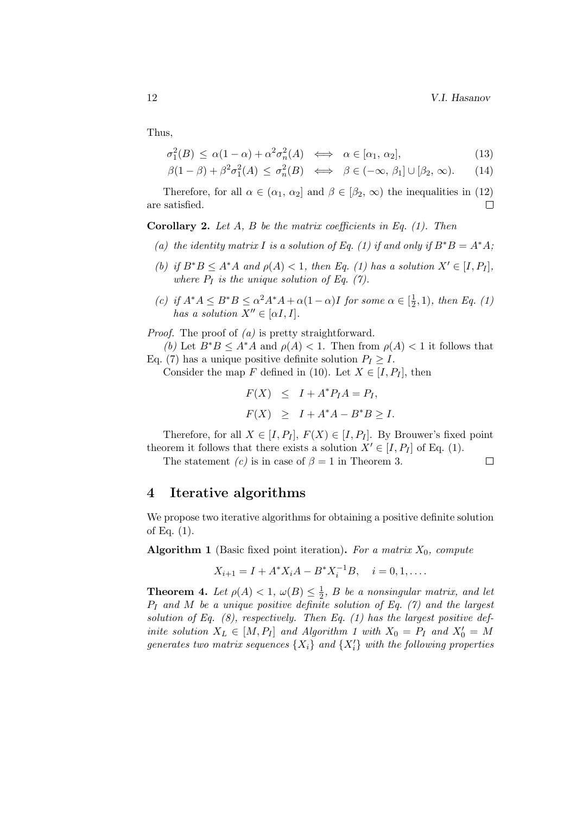Thus,

$$
\sigma_1^2(B) \le \alpha(1-\alpha) + \alpha^2 \sigma_n^2(A) \iff \alpha \in [\alpha_1, \alpha_2], \tag{13}
$$

$$
\beta(1-\beta) + \beta^2 \sigma_1^2(A) \le \sigma_n^2(B) \iff \beta \in (-\infty, \beta_1] \cup [\beta_2, \infty). \tag{14}
$$

Therefore, for all  $\alpha \in (\alpha_1, \alpha_2]$  and  $\beta \in [\beta_2, \infty)$  the inequalities in (12) are satisfied.  $\Box$ 

**Corollary 2.** Let  $A$ ,  $B$  be the matrix coefficients in Eq. (1). Then

- (a) the identity matrix I is a solution of Eq. (1) if and only if  $B^*B = A^*A$ ;
- (b) if  $B^*B \leq A^*A$  and  $\rho(A) < 1$ , then Eq. (1) has a solution  $X' \in [I, P_I]$ , where  $P_I$  is the unique solution of Eq. (7).
- (c) if  $A^*A \leq B^*B \leq \alpha^2 A^*A + \alpha(1-\alpha)I$  for some  $\alpha \in \left[\frac{1}{2}\right]$  $(\frac{1}{2}, 1)$ , then Eq. (1) has a solution  $X'' \in [\alpha I, I].$

*Proof.* The proof of  $(a)$  is pretty straightforward.

(b) Let  $B^*B \leq A^*A$  and  $\rho(A) < 1$ . Then from  $\rho(A) < 1$  it follows that Eq. (7) has a unique positive definite solution  $P_I \geq I$ .

Consider the map F defined in (10). Let  $X \in [I, P_I]$ , then

$$
F(X) \leq I + A^* P_I A = P_I,
$$
  

$$
F(X) \geq I + A^* A - B^* B \geq I.
$$

Therefore, for all  $X \in [I, P_I], F(X) \in [I, P_I]$ . By Brouwer's fixed point theorem it follows that there exists a solution  $X' \in [I, P_I]$  of Eq. (1).

The statement (c) is in case of  $\beta = 1$  in Theorem 3.  $\Box$ 

### 4 Iterative algorithms

We propose two iterative algorithms for obtaining a positive definite solution of Eq. (1).

**Algorithm 1** (Basic fixed point iteration). For a matrix  $X_0$ , compute

$$
X_{i+1} = I + A^* X_i A - B^* X_i^{-1} B, \quad i = 0, 1, \dots
$$

**Theorem 4.** Let  $\rho(A) < 1$ ,  $\omega(B) \leq \frac{1}{2}$  $\frac{1}{2}$ , B be a nonsingular matrix, and let  $P_I$  and M be a unique positive definite solution of Eq. (7) and the largest solution of Eq.  $(8)$ , respectively. Then Eq.  $(1)$  has the largest positive definite solution  $X_L \in [M, P_I]$  and Algorithm 1 with  $X_0 = P_I$  and  $X'_0 = M$ generates two matrix sequences  $\{X_i\}$  and  $\{X_i'\}$  with the following properties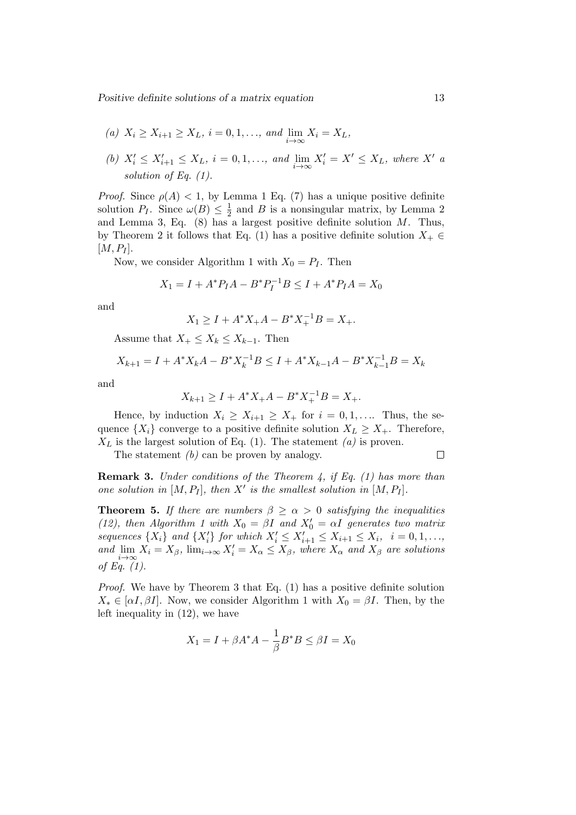Positive definite solutions of a matrix equation 13

- (a)  $X_i \ge X_{i+1} \ge X_L$ ,  $i = 0, 1, \ldots$ , and  $\lim_{i \to \infty} X_i = X_L$ ,
- (b)  $X'_i \leq X'_{i+1} \leq X_L$ ,  $i = 0, 1, \ldots$ , and  $\lim_{i \to \infty} X'_i = X' \leq X_L$ , where X' a solution of Eq.  $(1)$ .

*Proof.* Since  $\rho(A) < 1$ , by Lemma 1 Eq. (7) has a unique positive definite solution  $P_I$ . Since  $\omega(B) \leq \frac{1}{2}$  $\frac{1}{2}$  and *B* is a nonsingular matrix, by Lemma 2 and Lemma 3, Eq.  $(8)$  has a largest positive definite solution M. Thus, by Theorem 2 it follows that Eq. (1) has a positive definite solution  $X_+ \in$  $[M, P_I].$ 

Now, we consider Algorithm 1 with  $X_0 = P_I$ . Then

$$
X_1 = I + A^* P_I A - B^* P_I^{-1} B \le I + A^* P_I A = X_0
$$

and

$$
X_1 \ge I + A^*X_+A - B^*X_+^{-1}B = X_+.
$$

Assume that  $X_+ \leq X_k \leq X_{k-1}$ . Then

$$
X_{k+1} = I + A^* X_k A - B^* X_k^{-1} B \le I + A^* X_{k-1} A - B^* X_{k-1}^{-1} B = X_k
$$

and

$$
X_{k+1} \ge I + A^* X_+ A - B^* X_+^{-1} B = X_+.
$$

Hence, by induction  $X_i \geq X_{i+1} \geq X_+$  for  $i = 0, 1, \ldots$  Thus, the sequence  $\{X_i\}$  converge to a positive definite solution  $X_L \geq X_+$ . Therefore,  $X_L$  is the largest solution of Eq. (1). The statement (a) is proven.

The statement  $(b)$  can be proven by analogy.

 $\Box$ 

**Remark 3.** Under conditions of the Theorem 4, if Eq.  $(1)$  has more than one solution in  $[M, P_I]$ , then X' is the smallest solution in  $[M, P_I]$ .

**Theorem 5.** If there are numbers  $\beta \geq \alpha > 0$  satisfying the inequalities (12), then Algorithm 1 with  $X_0 = \beta I$  and  $X'_0 = \alpha I$  generates two matrix sequences  $\{X_i\}$  and  $\{X'_i\}$  for which  $X'_i \leq X'_{i+1} \leq X_{i+1} \leq X_i$ ,  $i = 0, 1, \ldots$ , i and  $\lim_{i\to\infty}X_i=X_\beta$ ,  $\lim_{i\to\infty}X'_i=X_\alpha\leq X_\beta$ , where  $X_\alpha$  and  $X_\beta$  are solutions of Eq. (1).

Proof. We have by Theorem 3 that Eq. (1) has a positive definite solution  $X_* \in [\alpha I, \beta I]$ . Now, we consider Algorithm 1 with  $X_0 = \beta I$ . Then, by the left inequality in (12), we have

$$
X_1 = I + \beta A^* A - \frac{1}{\beta} B^* B \le \beta I = X_0
$$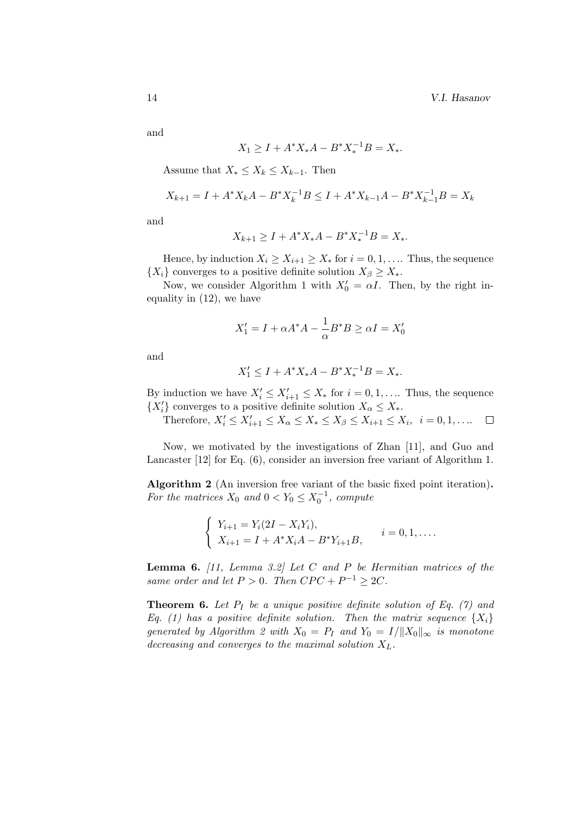and

$$
X_1 \ge I + A^* X_* A - B^* X_*^{-1} B = X_*.
$$

Assume that  $X_* \leq X_k \leq X_{k-1}$ . Then

$$
X_{k+1} = I + A^* X_k A - B^* X_k^{-1} B \le I + A^* X_{k-1} A - B^* X_{k-1}^{-1} B = X_k
$$

and

$$
X_{k+1} \ge I + A^* X_* A - B^* X_*^{-1} B = X_*.
$$

Hence, by induction  $X_i \geq X_{i+1} \geq X_*$  for  $i = 0, 1, \ldots$  Thus, the sequence  $\{X_i\}$  converges to a positive definite solution  $X_\beta \geq X_*$ .

Now, we consider Algorithm 1 with  $X'_0 = \alpha I$ . Then, by the right inequality in (12), we have

$$
X_1' = I + \alpha A^* A - \frac{1}{\alpha} B^* B \ge \alpha I = X_0'
$$

and

$$
X_1' \le I + A^* X_* A - B^* X_*^{-1} B = X_*.
$$

By induction we have  $X'_i \leq X'_{i+1} \leq X_*$  for  $i = 0, 1, \ldots$  Thus, the sequence  $\{X'_i\}$  converges to a positive definite solution  $X_\alpha \leq X_*$ .

Therefore,  $X'_i \le X'_{i+1} \le X_\alpha \le X_* \le X_\beta \le X_{i+1} \le X_i, \ \ i = 0, 1, \ldots$  $\Box$ 

Now, we motivated by the investigations of Zhan [11], and Guo and Lancaster [12] for Eq. (6), consider an inversion free variant of Algorithm 1.

Algorithm 2 (An inversion free variant of the basic fixed point iteration). For the matrices  $X_0$  and  $0 < Y_0 \leq X_0^{-1}$ , compute

$$
\begin{cases} Y_{i+1} = Y_i(2I - X_iY_i), \\ X_{i+1} = I + A^*X_iA - B^*Y_{i+1}B, \end{cases} \quad i = 0, 1, \dots
$$

**Lemma 6.** [11, Lemma 3.2] Let C and P be Hermitian matrices of the same order and let  $P > 0$ . Then  $CPC + P^{-1} \geq 2C$ .

**Theorem 6.** Let  $P_I$  be a unique positive definite solution of Eq. (7) and Eq. (1) has a positive definite solution. Then the matrix sequence  $\{X_i\}$ generated by Algorithm 2 with  $X_0 = P_I$  and  $Y_0 = I/||X_0||_{\infty}$  is monotone decreasing and converges to the maximal solution  $X_L$ .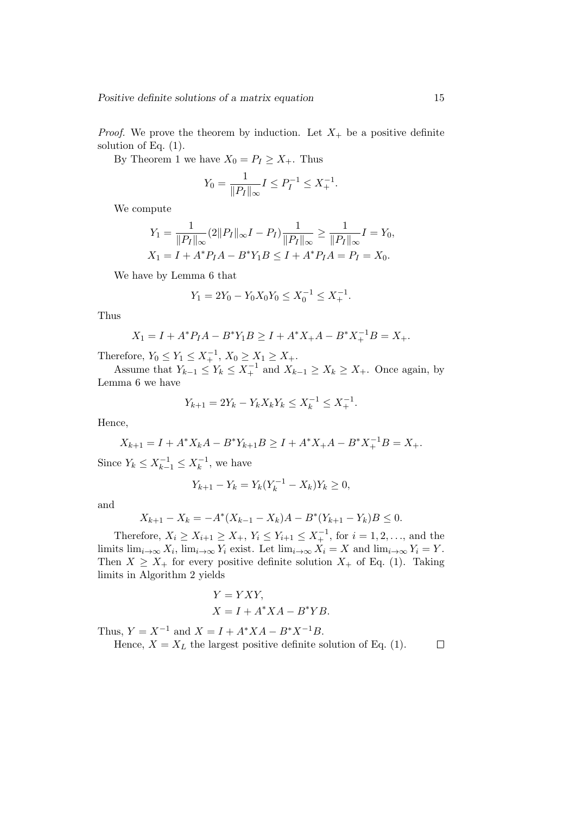*Proof.* We prove the theorem by induction. Let  $X_+$  be a positive definite solution of Eq. (1).

By Theorem 1 we have  $X_0 = P_I \ge X_+$ . Thus

$$
Y_0 = \frac{1}{\|P_I\|_{\infty}} I \le P_I^{-1} \le X_+^{-1}.
$$

We compute

$$
Y_1 = \frac{1}{\|P_I\|_{\infty}} (2\|P_I\|_{\infty} I - P_I) \frac{1}{\|P_I\|_{\infty}} \ge \frac{1}{\|P_I\|_{\infty}} I = Y_0,
$$
  

$$
X_1 = I + A^* P_I A - B^* Y_1 B \le I + A^* P_I A = P_I = X_0.
$$

We have by Lemma 6 that

$$
Y_1 = 2Y_0 - Y_0 X_0 Y_0 \le X_0^{-1} \le X_+^{-1}.
$$

Thus

$$
X_1 = I + A^* P_I A - B^* Y_1 B \ge I + A^* X_+ A - B^* X_+^{-1} B = X_+.
$$

Therefore,  $Y_0 \le Y_1 \le X_+^{-1}$ ,  $X_0 \ge X_1 \ge X_+$ .

Assume that  $Y_{k-1} \le Y_k \le X_+^{-1}$  and  $X_{k-1} \ge X_k \ge X_+$ . Once again, by Lemma 6 we have

$$
Y_{k+1} = 2Y_k - Y_k X_k Y_k \le X_k^{-1} \le X_+^{-1}.
$$

Hence,

$$
X_{k+1} = I + A^* X_k A - B^* Y_{k+1} B \ge I + A^* X_+ A - B^* X_+^{-1} B = X_+.
$$

Since  $Y_k \le X_{k-1}^{-1} \le X_k^{-1}$  $\kappa^{-1}$ , we have

$$
Y_{k+1} - Y_k = Y_k (Y_k^{-1} - X_k) Y_k \ge 0,
$$

and

$$
X_{k+1} - X_k = -A^*(X_{k-1} - X_k)A - B^*(Y_{k+1} - Y_k)B \le 0.
$$

Therefore,  $X_i \ge X_{i+1} \ge X_+$ ,  $Y_i \le Y_{i+1} \le X_+^{-1}$ , for  $i = 1, 2, ...,$  and the limits  $\lim_{i\to\infty} X_i$ ,  $\lim_{i\to\infty} Y_i$  exist. Let  $\lim_{i\to\infty} X_i = X$  and  $\lim_{i\to\infty} Y_i = Y$ . Then  $X \geq X_+$  for every positive definite solution  $X_+$  of Eq. (1). Taking limits in Algorithm 2 yields

$$
Y = YXY,
$$
  

$$
X = I + A^*XA - B^*YB.
$$

Thus,  $Y = X^{-1}$  and  $X = I + A^*XA - B^*X^{-1}B$ .

Hence,  $X = X_L$  the largest positive definite solution of Eq. (1).  $\Box$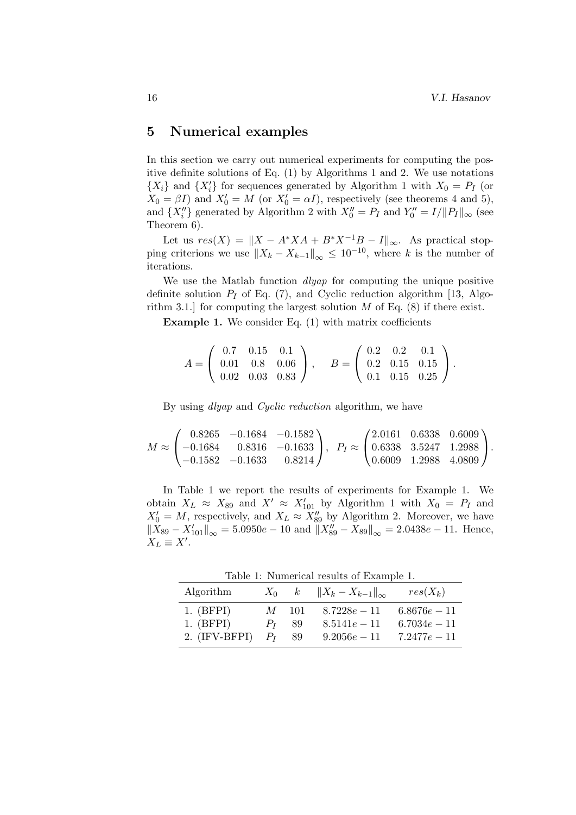# 5 Numerical examples

In this section we carry out numerical experiments for computing the positive definite solutions of Eq. (1) by Algorithms 1 and 2. We use notations  $\{X_i\}$  and  $\{X'_i\}$  for sequences generated by Algorithm 1 with  $X_0 = P_I$  (or  $X_0 = \beta I$ ) and  $X'_0 = M$  (or  $X'_0 = \alpha I$ ), respectively (see theorems 4 and 5), and  $\{X''_i\}$  generated by Algorithm 2 with  $X''_0 = P_I$  and  $Y''_0 = I/||P_I||_{\infty}$  (see Theorem 6).

Let us  $res(X) = ||X - A^*XA + B^*X^{-1}B - I||_{\infty}$ . As practical stopping criterions we use  $||X_k - X_{k-1}||_{\infty} \leq 10^{-10}$ , where k is the number of iterations.

We use the Matlab function *dlyap* for computing the unique positive definite solution  $P_I$  of Eq. (7), and Cyclic reduction algorithm [13, Algorithm 3.1.] for computing the largest solution  $M$  of Eq. (8) if there exist.

**Example 1.** We consider Eq.  $(1)$  with matrix coefficients

$$
A = \left(\begin{array}{ccc} 0.7 & 0.15 & 0.1 \\ 0.01 & 0.8 & 0.06 \\ 0.02 & 0.03 & 0.83 \end{array}\right), \quad B = \left(\begin{array}{ccc} 0.2 & 0.2 & 0.1 \\ 0.2 & 0.15 & 0.15 \\ 0.1 & 0.15 & 0.25 \end{array}\right).
$$

By using *dlyap* and *Cyclic reduction* algorithm, we have

$$
M \approx \begin{pmatrix} 0.8265 & -0.1684 & -0.1582 \\ -0.1684 & 0.8316 & -0.1633 \\ -0.1582 & -0.1633 & 0.8214 \end{pmatrix}, \quad P_I \approx \begin{pmatrix} 2.0161 & 0.6338 & 0.6009 \\ 0.6338 & 3.5247 & 1.2988 \\ 0.6009 & 1.2988 & 4.0809 \end{pmatrix}.
$$

In Table 1 we report the results of experiments for Example 1. We obtain  $X_L \approx X_{89}$  and  $X' \approx X'_{101}$  by Algorithm 1 with  $X_0 = P_I$  and  $X'_0 = M$ , respectively, and  $X_L \approx X''_{89}$  by Algorithm 2. Moreover, we have  $||X_{89} - X'_{101}||_{\infty} = 5.0950e - 10$  and  $||X''_{89} - X_{89}||_{\infty} = 2.0438e - 11$ . Hence,  $X_L \equiv X'.$ 

Table 1: Numerical results of Example 1.

| Algorithm                |                       | $X_0$ $k$ $  X_k - X_{k-1}  _{\infty}$ | $res(X_k)$                       |
|--------------------------|-----------------------|----------------------------------------|----------------------------------|
| $1.$ (BFPI)<br>1. (BFPI) | $M = 101$<br>$P_I$ 89 | $8.7228e - 11$<br>$8.5141e - 11$       | $6.8676e - 11$<br>$6.7034e - 11$ |
| $2.$ (IFV-BFPI)          | $P_I$ 89              | $9.2056e - 11$                         | $7.2477e - 11$                   |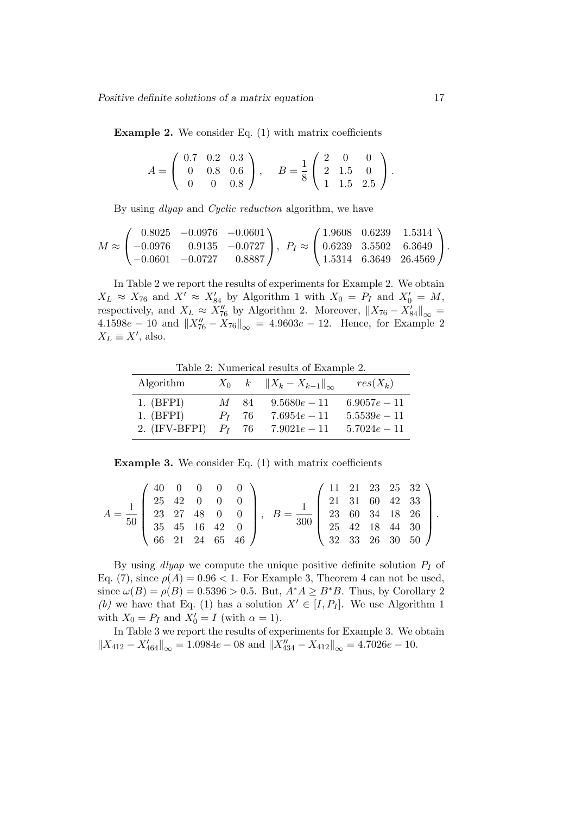Example 2. We consider Eq. (1) with matrix coefficients

|  |  | $A = \left( \begin{array}{ccc} 0.7 & 0.2 & 0.3 \\ 0 & 0.8 & 0.6 \\ . & . & . & . \end{array} \right),$ | $B = \frac{1}{8} \begin{pmatrix} 2 & 0 & 0 \\ 2 & 1.5 & 0 \\ 1 & 1.5 & 2.5 \end{pmatrix}.$ |  |  |
|--|--|--------------------------------------------------------------------------------------------------------|--------------------------------------------------------------------------------------------|--|--|
|  |  | $\begin{pmatrix} 0 & 0 & 0.8 \end{pmatrix}$                                                            |                                                                                            |  |  |

By using *dlyap* and *Cyclic reduction* algorithm, we have

$$
M \approx \begin{pmatrix} 0.8025 & -0.0976 & -0.0601 \\ -0.0976 & 0.9135 & -0.0727 \\ -0.0601 & -0.0727 & 0.8887 \end{pmatrix}, \ P_I \approx \begin{pmatrix} 1.9608 & 0.6239 & 1.5314 \\ 0.6239 & 3.5502 & 6.3649 \\ 1.5314 & 6.3649 & 26.4569 \end{pmatrix}.
$$

In Table 2 we report the results of experiments for Example 2. We obtain  $X_L \approx X_{76}$  and  $X' \approx X'_{84}$  by Algorithm 1 with  $X_0 = P_I$  and  $X'_0 = M$ , respectively, and  $X_L \approx X''_{76}$  by Algorithm 2. Moreover,  $||X_{76} - X'_{84}||_{\infty} =$  $4.1598e - 10$  and  $||X''_{76} - X_{76}||_{\infty} = 4.9603e - 12$ . Hence, for Example 2  $X_L \equiv X'$ , also.

Table 2: Numerical results of Example 2.

| Algorithm       |          |     | $X_0$ $k$ $  X_k - X_{k-1}  _{\infty}$ | $res(X_k)$     |
|-----------------|----------|-----|----------------------------------------|----------------|
| $1.$ (BFPI)     | M        | -84 | $9.5680e - 11$                         | $6.9057e - 11$ |
| $1.$ (BFPI)     | $P_I$ 76 |     | $7.6954e - 11$                         | $5.5539e - 11$ |
| $2.$ (IFV-BFPI) | $P_I$ 76 |     | $7.9021e - 11$                         | $5.7024e - 11$ |

Example 3. We consider Eq. (1) with matrix coefficients

$$
A = \frac{1}{50} \begin{pmatrix} 40 & 0 & 0 & 0 & 0 \\ 25 & 42 & 0 & 0 & 0 \\ 23 & 27 & 48 & 0 & 0 \\ 35 & 45 & 16 & 42 & 0 \\ 66 & 21 & 24 & 65 & 46 \end{pmatrix}, \quad B = \frac{1}{300} \begin{pmatrix} 11 & 21 & 23 & 25 & 32 \\ 21 & 31 & 60 & 42 & 33 \\ 23 & 60 & 34 & 18 & 26 \\ 25 & 42 & 18 & 44 & 30 \\ 32 & 33 & 26 & 30 & 50 \end{pmatrix}.
$$

By using  $dlyap$  we compute the unique positive definite solution  $P_I$  of Eq. (7), since  $\rho(A) = 0.96 < 1$ . For Example 3, Theorem 4 can not be used, since  $\omega(B) = \rho(B) = 0.5396 > 0.5$ . But,  $A^*A \geq B^*B$ . Thus, by Corollary 2 (b) we have that Eq. (1) has a solution  $X' \in [I, P_I]$ . We use Algorithm 1 with  $X_0 = P_I$  and  $X'_0 = I$  (with  $\alpha = 1$ ).

In Table 3 we report the results of experiments for Example 3. We obtain  $||X_{412} - X'_{464}||_{\infty} = 1.0984e - 08$  and  $||X''_{434} - X_{412}||_{\infty} = 4.7026e - 10$ .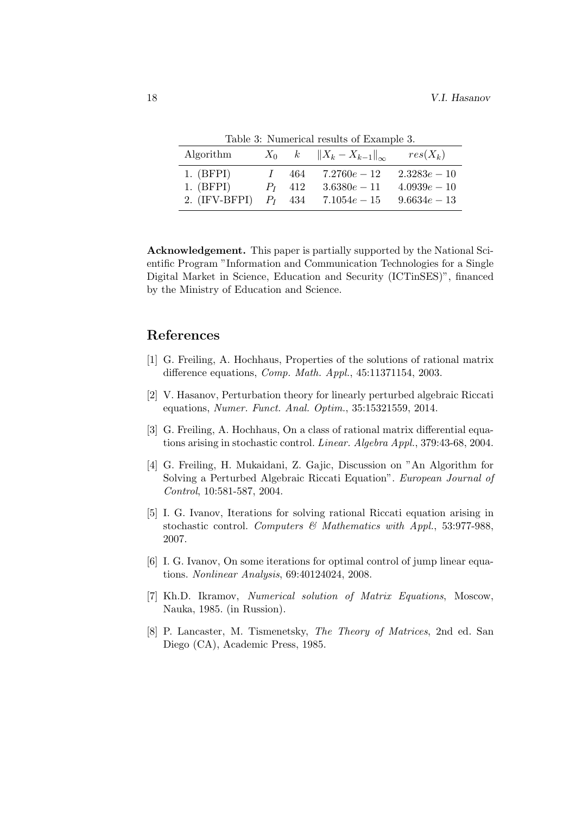| Algorithm                                 | $X_0$ | k                               | $  X_k - X_{k-1}  _{\infty}$                       | $res(X_k)$                                         |
|-------------------------------------------|-------|---------------------------------|----------------------------------------------------|----------------------------------------------------|
| $1.$ (BFPI)<br>1. (BFPI)<br>2. (IFV-BFPI) |       | 464<br>$P_{I}$ 412<br>$P_I$ 434 | $7.2760e - 12$<br>$3.6380e - 11$<br>$7.1054e - 15$ | $2.3283e - 10$<br>$4.0939e - 10$<br>$9.6634e - 13$ |

Table 3: Numerical results of Example 3.

Acknowledgement. This paper is partially supported by the National Scientific Program "Information and Communication Technologies for a Single Digital Market in Science, Education and Security (ICTinSES)", financed by the Ministry of Education and Science.

# References

- [1] G. Freiling, A. Hochhaus, Properties of the solutions of rational matrix difference equations, Comp. Math. Appl., 45:11371154, 2003.
- [2] V. Hasanov, Perturbation theory for linearly perturbed algebraic Riccati equations, Numer. Funct. Anal. Optim., 35:15321559, 2014.
- [3] G. Freiling, A. Hochhaus, On a class of rational matrix differential equations arising in stochastic control. Linear. Algebra Appl., 379:43-68, 2004.
- [4] G. Freiling, H. Mukaidani, Z. Gajic, Discussion on "An Algorithm for Solving a Perturbed Algebraic Riccati Equation". European Journal of Control, 10:581-587, 2004.
- [5] I. G. Ivanov, Iterations for solving rational Riccati equation arising in stochastic control. Computers & Mathematics with Appl., 53:977-988, 2007.
- [6] I. G. Ivanov, On some iterations for optimal control of jump linear equations. Nonlinear Analysis, 69:40124024, 2008.
- [7] Kh.D. Ikramov, Numerical solution of Matrix Equations, Moscow, Nauka, 1985. (in Russion).
- [8] P. Lancaster, M. Tismenetsky, The Theory of Matrices, 2nd ed. San Diego (CA), Academic Press, 1985.